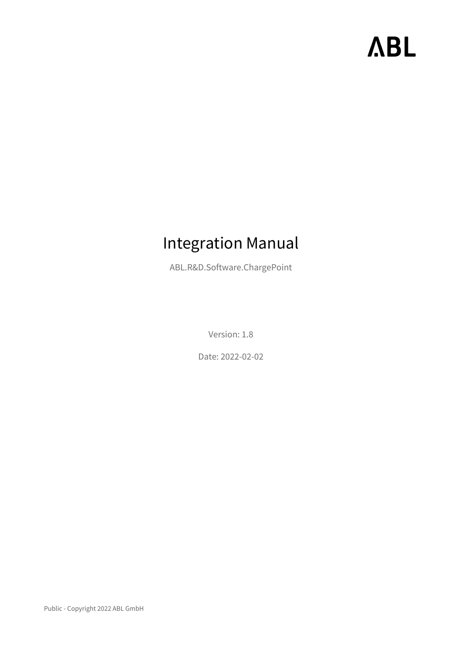# **ABL**

# Integration Manual

ABL.R&D.Software.ChargePoint

Version: 1.8

Date: 2022-02-02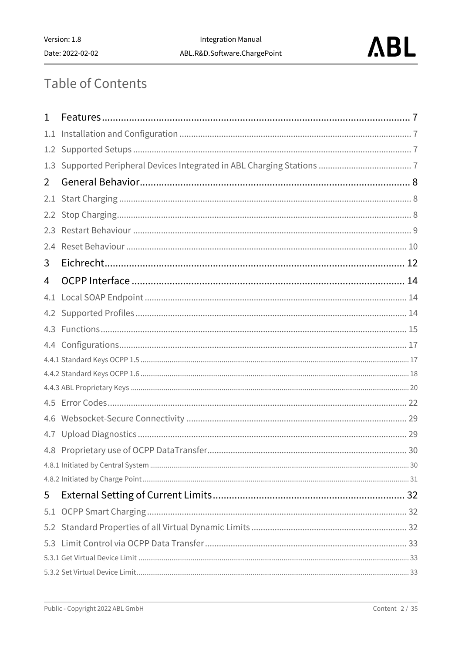

# **Table of Contents**

| 1   |  |
|-----|--|
|     |  |
| 1.1 |  |
| 1.2 |  |
| 1.3 |  |
| 2   |  |
| 2.1 |  |
|     |  |
| 2.3 |  |
| 2.4 |  |
| 3   |  |
| 4   |  |
| 4.1 |  |
|     |  |
| 4.3 |  |
|     |  |
|     |  |
|     |  |
|     |  |
|     |  |
| 4.6 |  |
|     |  |
|     |  |
|     |  |
|     |  |
| 5   |  |
| 5.1 |  |
|     |  |
| 5.3 |  |
|     |  |
|     |  |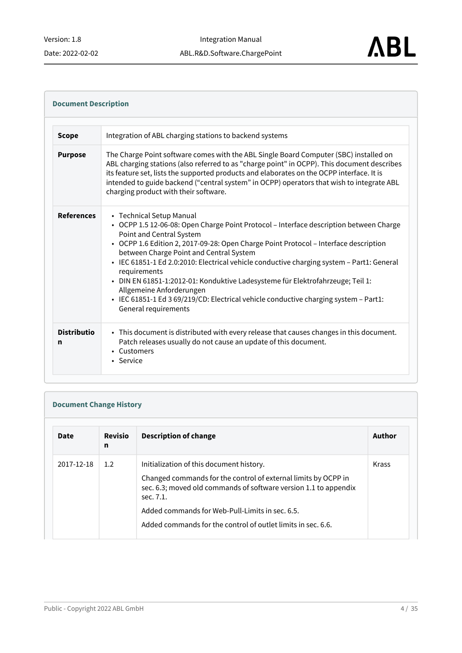#### **References** • Technical Setup Manual • OCPP 1.5 12-06-08: Open Charge Point Protocol – Interface description between Charge • OCPP 1.6 Edition 2, 2017-09-28: Open Charge Point Protocol – Interface description • IEC 61851-1 Ed 2.0:2010: Electrical vehicle conductive charging system – Part1: General • DIN EN 61851-1:2012-01: Konduktive Ladesysteme für Elektrofahrzeuge; Teil 1: • IEC 61851-1 Ed 3 69/219/CD: Electrical vehicle conductive charging system – Part1: • This document is distributed with every release that causes changes in this document. • Customers • Service **Document Description Scope** Integration of ABL charging stations to backend systems **Purpose** The Charge Point software comes with the ABL Single Board Computer (SBC) installed on ABL charging stations (also referred to as "charge point" in OCPP). This document describes its feature set, lists the supported products and elaborates on the OCPP interface. It is intended to guide backend ("central system" in OCPP) operators that wish to integrate ABL charging product with their software. Point and Central System between Charge Point and Central System requirements Allgemeine Anforderungen General requirements **Distributio n** Patch releases usually do not cause an update of this document.

#### **Document Change History**

| <b>Date</b> | <b>Revisio</b><br>n | <b>Description of change</b>                                                                                                                    | Author |
|-------------|---------------------|-------------------------------------------------------------------------------------------------------------------------------------------------|--------|
| 2017-12-18  | 1.2                 | Initialization of this document history.                                                                                                        | Krass  |
|             |                     | Changed commands for the control of external limits by OCPP in<br>sec. 6.3; moved old commands of software version 1.1 to appendix<br>sec. 7.1. |        |
|             |                     | Added commands for Web-Pull-Limits in sec. 6.5.                                                                                                 |        |
|             |                     | Added commands for the control of outlet limits in sec. 6.6.                                                                                    |        |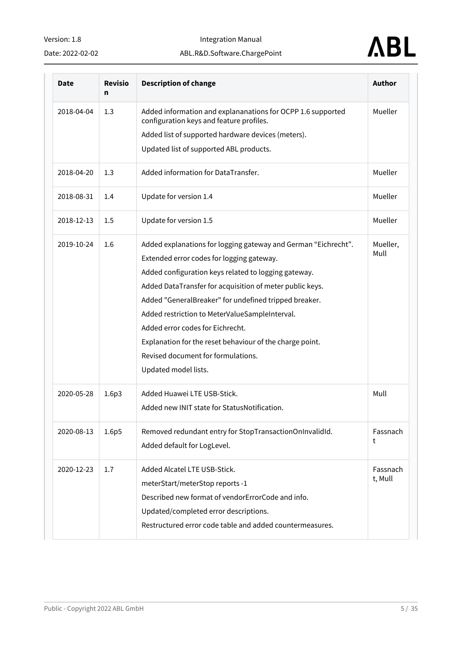Date: 2022-02-02

Integration Manual

#### ABL.R&D.Software.ChargePoint



| Date       | <b>Revisio</b><br>n | <b>Description of change</b>                                                                                                                                                                                                                                                                                                                                                                                                                                                                             | Author              |
|------------|---------------------|----------------------------------------------------------------------------------------------------------------------------------------------------------------------------------------------------------------------------------------------------------------------------------------------------------------------------------------------------------------------------------------------------------------------------------------------------------------------------------------------------------|---------------------|
| 2018-04-04 | 1.3                 | Added information and explananations for OCPP 1.6 supported<br>configuration keys and feature profiles.                                                                                                                                                                                                                                                                                                                                                                                                  | Mueller             |
|            |                     | Added list of supported hardware devices (meters).                                                                                                                                                                                                                                                                                                                                                                                                                                                       |                     |
|            |                     | Updated list of supported ABL products.                                                                                                                                                                                                                                                                                                                                                                                                                                                                  |                     |
| 2018-04-20 | 1.3                 | Added information for DataTransfer.                                                                                                                                                                                                                                                                                                                                                                                                                                                                      | Mueller             |
| 2018-08-31 | 1.4                 | Update for version 1.4                                                                                                                                                                                                                                                                                                                                                                                                                                                                                   | Mueller             |
| 2018-12-13 | 1.5                 | Update for version 1.5                                                                                                                                                                                                                                                                                                                                                                                                                                                                                   | Mueller             |
| 2019-10-24 | 1.6                 | Added explanations for logging gateway and German "Eichrecht".<br>Extended error codes for logging gateway.<br>Added configuration keys related to logging gateway.<br>Added DataTransfer for acquisition of meter public keys.<br>Added "GeneralBreaker" for undefined tripped breaker.<br>Added restriction to MeterValueSampleInterval.<br>Added error codes for Eichrecht.<br>Explanation for the reset behaviour of the charge point.<br>Revised document for formulations.<br>Updated model lists. | Mueller,<br>Mull    |
| 2020-05-28 | 1.6p3               | Added Huawei LTE USB-Stick.<br>Added new INIT state for StatusNotification.                                                                                                                                                                                                                                                                                                                                                                                                                              | Mull                |
| 2020-08-13 | 1.6p5               | Removed redundant entry for StopTransactionOnInvalidId.<br>Added default for LogLevel.                                                                                                                                                                                                                                                                                                                                                                                                                   | Fassnach<br>t       |
| 2020-12-23 | 1.7                 | Added Alcatel LTE USB-Stick.<br>meterStart/meterStop reports -1<br>Described new format of vendorErrorCode and info.<br>Updated/completed error descriptions.<br>Restructured error code table and added countermeasures.                                                                                                                                                                                                                                                                                | Fassnach<br>t, Mull |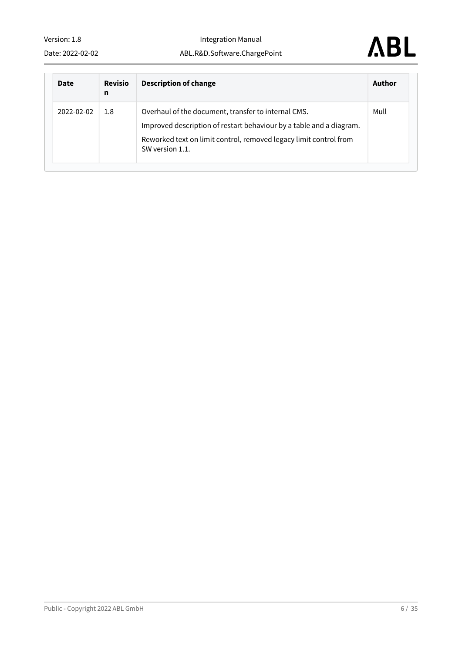Integration Manual ABL.R&D.Software.ChargePoint



| <b>Date</b> | <b>Revisio</b><br>n | <b>Description of change</b>                                                                                                                                                                                       | Author |
|-------------|---------------------|--------------------------------------------------------------------------------------------------------------------------------------------------------------------------------------------------------------------|--------|
| 2022-02-02  | 1.8                 | Overhaul of the document, transfer to internal CMS.<br>Improved description of restart behaviour by a table and a diagram.<br>Reworked text on limit control, removed legacy limit control from<br>SW version 1.1. | Mull   |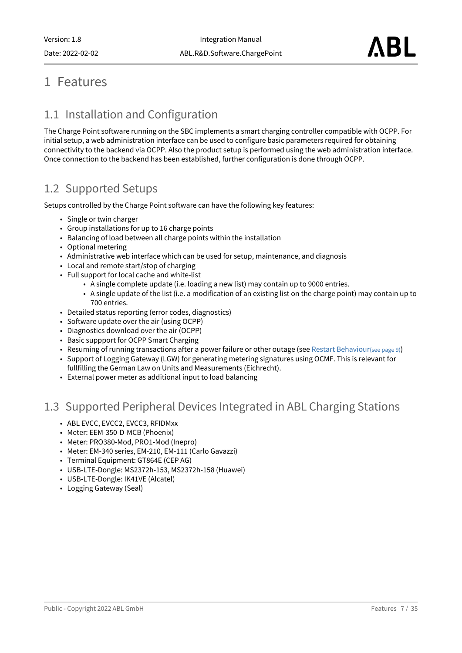## <span id="page-6-1"></span><span id="page-6-0"></span>1 Features

## 1.1 Installation and Configuration

The Charge Point software running on the SBC implements a smart charging controller compatible with OCPP. For initial setup, a web administration interface can be used to configure basic parameters required for obtaining connectivity to the backend via OCPP. Also the product setup is performed using the web administration interface. Once connection to the backend has been established, further configuration is done through OCPP.

#### <span id="page-6-2"></span>1.2 Supported Setups

Setups controlled by the Charge Point software can have the following key features:

- Single or twin charger
- Group installations for up to 16 charge points
- Balancing of load between all charge points within the installation
- Optional metering
- Administrative web interface which can be used for setup, maintenance, and diagnosis
- Local and remote start/stop of charging
- Full support for local cache and white-list
	- A single complete update (i.e. loading a new list) may contain up to 9000 entries.
	- A single update of the list (i.e. a modification of an existing list on the charge point) may contain up to 700 entries.
- Detailed status reporting (error codes, diagnostics)
- Software update over the air (using OCPP)
- Diagnostics download over the air (OCPP)
- Basic suppport for OCPP Smart Charging
- Resuming of running transactions after a power failure or other outage (see [Restart Behaviour](#page-8-1)(see page 9))
- Support of Logging Gateway (LGW) for generating metering signatures using OCMF. This is relevant for fullfilling the German Law on Units and Measurements (Eichrecht).
- External power meter as additional input to load balancing

#### <span id="page-6-3"></span>1.3 Supported Peripheral Devices Integrated in ABL Charging Stations

- ABL EVCC, EVCC2, EVCC3, RFIDMxx
- Meter: EEM-350-D-MCB (Phoenix)
- Meter: PRO380-Mod, PRO1-Mod (Inepro)
- Meter: EM-340 series, EM-210, EM-111 (Carlo Gavazzi)
- Terminal Equipment: GT864E (CEP AG)
- USB-LTE-Dongle: MS2372h-153, MS2372h-158 (Huawei)
- USB-LTE-Dongle: IK41VE (Alcatel)
- Logging Gateway (Seal)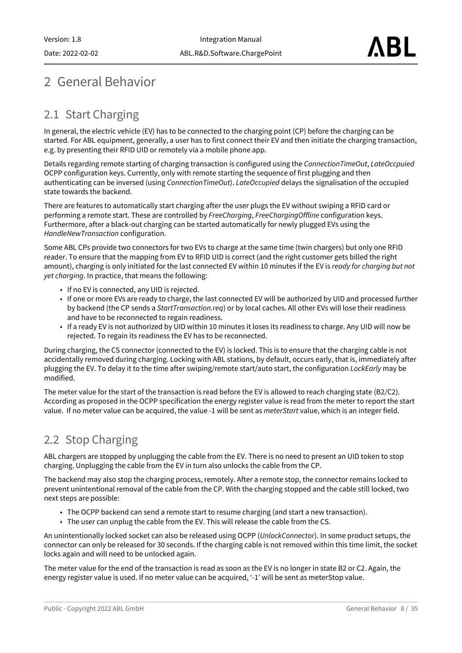# <span id="page-7-1"></span><span id="page-7-0"></span>2 General Behavior

## 2.1 Start Charging

In general, the electric vehicle (EV) has to be connected to the charging point (CP) before the charging can be started. For ABL equipment, generally, a user has to first connect their EV and then initiate the charging transaction, e.g. by presenting their RFID UID or remotely via a mobile phone app.

Details regarding remote starting of charging transaction is configured using the *ConnectionTimeOut*, *LateOccpuied* OCPP configuration keys. Currently, only with remote starting the sequence of first plugging and then authenticating can be inversed (using *ConnectionTimeOut*). *LateOccupied* delays the signalisation of the occupied state towards the backend.

There are features to automatically start charging after the user plugs the EV without swiping a RFID card or performing a remote start. These are controlled by *FreeCharging*, *FreeChargingOffline* configuration keys. Furthermore, after a black-out charging can be started automatically for newly plugged EVs using the *HandleNewTransaction* configuration.

Some ABL CPs provide two connectors for two EVs to charge at the same time (twin chargers) but only one RFID reader. To ensure that the mapping from EV to RFID UID is correct (and the right customer gets billed the right amount), charging is only initiated for the last connected EV within 10 minutes if the EV is *ready for charging but not yet charging*. In practice, that means the following:

- If no EV is connected, any UID is rejected.
- If one or more EVs are ready to charge, the last connected EV will be authorized by UID and processed further by backend (the CP sends a *StartTransaction.req*) or by local caches. All other EVs will lose their readiness and have to be reconnected to regain readiness.
- If a ready EV is not authorized by UID within 10 minutes it loses its readiness to charge. Any UID will now be rejected. To regain its readiness the EV has to be reconnected.

During charging, the CS connector (connected to the EV) is locked. This is to ensure that the charging cable is not accidentally removed during charging. Locking with ABL stations, by default, occurs early, that is, immediately after plugging the EV. To delay it to the time after swiping/remote start/auto start, the configuration *LockEarly* may be modified.

The meter value for the start of the transaction is read before the EV is allowed to reach charging state (B2/C2). According as proposed in the OCPP specification the energy register value is read from the meter to report the start value. If no meter value can be acquired, the value -1 will be sent as *meterStart* value, which is an integer field.

## <span id="page-7-2"></span>2.2 Stop Charging

ABL chargers are stopped by unplugging the cable from the EV. There is no need to present an UID token to stop charging. Unplugging the cable from the EV in turn also unlocks the cable from the CP.

The backend may also stop the charging process, remotely. After a remote stop, the connector remains locked to prevent unintentional removal of the cable from the CP. With the charging stopped and the cable still locked, two next steps are possible:

- The OCPP backend can send a remote start to resume charging (and start a new transaction).
- The user can unplug the cable from the EV. This will release the cable from the CS.

An unintentionally locked socket can also be released using OCPP (*UnlockConnector*). In some product setups, the connector can only be released for 30 seconds. If the charging cable is not removed within this time limit, the socket locks again and will need to be unlocked again.

The meter value for the end of the transaction is read as soon as the EV is no longer in state B2 or C2. Again, the energy register value is used. If no meter value can be acquired, '-1' will be sent as meterStop value.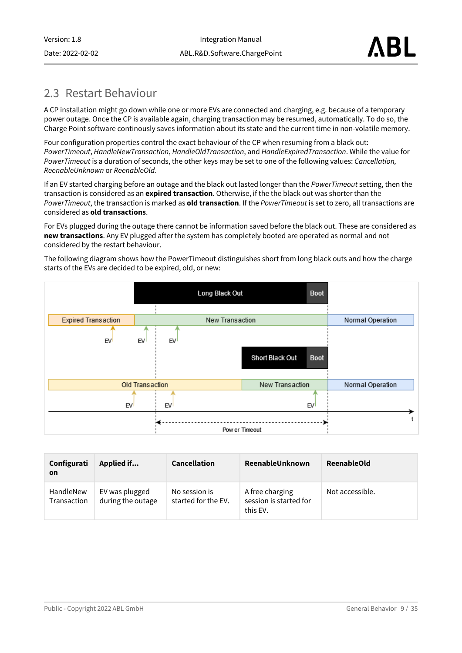Version: 1.8 Date: 2022-02-02

### <span id="page-8-1"></span><span id="page-8-0"></span>2.3 Restart Behaviour

A CP installation might go down while one or more EVs are connected and charging, e.g. because of a temporary power outage. Once the CP is available again, charging transaction may be resumed, automatically. To do so, the Charge Point software continously saves information about its state and the current time in non-volatile memory.

Four configuration properties control the exact behaviour of the CP when resuming from a black out: *PowerTimeout*, *HandleNewTransaction*, *HandleOldTransaction*, and *HandleExpiredTransaction*. While the value for *PowerTimeout* is a duration of seconds, the other keys may be set to one of the following values: *Cancellation, ReenableUnknown* or *ReenableOld.*

If an EV started charging before an outage and the black out lasted longer than the *PowerTimeout* setting, then the transaction is considered as an **expired transaction**. Otherwise, if the the black out was shorter than the *PowerTimeout*, the transaction is marked as **old transaction**. If the *PowerTimeout* is set to zero, all transactions are considered as **old transactions**.

For EVs plugged during the outage there cannot be information saved before the black out. These are considered as **new transactions**. Any EV plugged after the system has completely booted are operated as normal and not considered by the restart behaviour.

The following diagram shows how the PowerTimeout distinguishes short from long black outs and how the charge starts of the EVs are decided to be expired, old, or new:



| Configurati<br><b>on</b> | Applied if                          | <b>Cancellation</b>                  | ReenableUnknown                                       | <b>ReenableOld</b> |
|--------------------------|-------------------------------------|--------------------------------------|-------------------------------------------------------|--------------------|
| HandleNew<br>Transaction | EV was plugged<br>during the outage | No session is<br>started for the EV. | A free charging<br>session is started for<br>this EV. | Not accessible.    |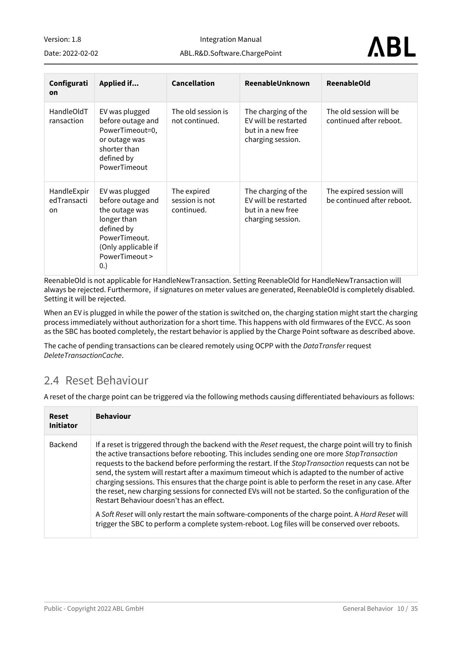| Version: 1.8     |  |
|------------------|--|
| Date: 2022-02-02 |  |

Integration Manual

ABL.R&D.Software.ChargePoint

| Configurati<br><b>on</b>         | Applied if                                                                                                                                           | <b>Cancellation</b>                         | ReenableUnknown                                                                       | <b>ReenableOld</b>                                     |
|----------------------------------|------------------------------------------------------------------------------------------------------------------------------------------------------|---------------------------------------------|---------------------------------------------------------------------------------------|--------------------------------------------------------|
| HandleOldT<br>ransaction         | EV was plugged<br>before outage and<br>PowerTimeout=0,<br>or outage was<br>shorter than<br>defined by<br>PowerTimeout                                | The old session is<br>not continued.        | The charging of the<br>EV will be restarted<br>but in a new free<br>charging session. | The old session will be<br>continued after reboot.     |
| HandleExpir<br>edTransacti<br>on | EV was plugged<br>before outage and<br>the outage was<br>longer than<br>defined by<br>PowerTimeout.<br>(Only applicable if<br>PowerTimeout ><br>(0.) | The expired<br>session is not<br>continued. | The charging of the<br>EV will be restarted<br>but in a new free<br>charging session. | The expired session will<br>be continued after reboot. |

ReenableOld is not applicable for HandleNewTransaction. Setting ReenableOld for HandleNewTransaction will always be rejected. Furthermore, if signatures on meter values are generated, ReenableOld is completely disabled. Setting it will be rejected.

When an EV is plugged in while the power of the station is switched on, the charging station might start the charging process immediately without authorization for a short time. This happens with old firmwares of the EVCC. As soon as the SBC has booted completely, the restart behavior is applied by the Charge Point software as described above.

<span id="page-9-0"></span>The cache of pending transactions can be cleared remotely using OCPP with the *DataTransfer* request *DeleteTransactionCache*.

#### 2.4 Reset Behaviour

A reset of the charge point can be triggered via the following methods causing differentiated behaviours as follows:

| <b>Reset</b><br><b>Initiator</b> | <b>Behaviour</b>                                                                                                                                                                                                                                                                                                                                                                                                                                                                                                                                                                                                                                                           |
|----------------------------------|----------------------------------------------------------------------------------------------------------------------------------------------------------------------------------------------------------------------------------------------------------------------------------------------------------------------------------------------------------------------------------------------------------------------------------------------------------------------------------------------------------------------------------------------------------------------------------------------------------------------------------------------------------------------------|
| <b>Backend</b>                   | If a reset is triggered through the backend with the Reset request, the charge point will try to finish<br>the active transactions before rebooting. This includes sending one ore more StopTransaction<br>requests to the backend before performing the restart. If the StopTransaction requests can not be<br>send, the system will restart after a maximum timeout which is adapted to the number of active<br>charging sessions. This ensures that the charge point is able to perform the reset in any case. After<br>the reset, new charging sessions for connected EVs will not be started. So the configuration of the<br>Restart Behaviour doesn't has an effect. |
|                                  | A Soft Reset will only restart the main software-components of the charge point. A Hard Reset will<br>trigger the SBC to perform a complete system-reboot. Log files will be conserved over reboots.                                                                                                                                                                                                                                                                                                                                                                                                                                                                       |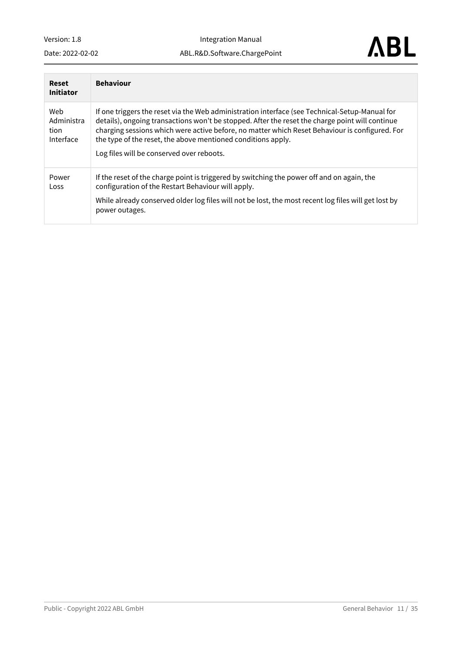Integration Manual ABL.R&D.Software.ChargePoint

Date: 2022-02-02



| Reset<br><b>Initiator</b>              | <b>Behaviour</b>                                                                                                                                                                                                                                                                                                                                                                                                 |
|----------------------------------------|------------------------------------------------------------------------------------------------------------------------------------------------------------------------------------------------------------------------------------------------------------------------------------------------------------------------------------------------------------------------------------------------------------------|
| Web<br>Administra<br>tion<br>Interface | If one triggers the reset via the Web administration interface (see Technical-Setup-Manual for<br>details), ongoing transactions won't be stopped. After the reset the charge point will continue<br>charging sessions which were active before, no matter which Reset Behaviour is configured. For<br>the type of the reset, the above mentioned conditions apply.<br>Log files will be conserved over reboots. |
| Power<br>Loss                          | If the reset of the charge point is triggered by switching the power off and on again, the<br>configuration of the Restart Behaviour will apply.<br>While already conserved older log files will not be lost, the most recent log files will get lost by<br>power outages.                                                                                                                                       |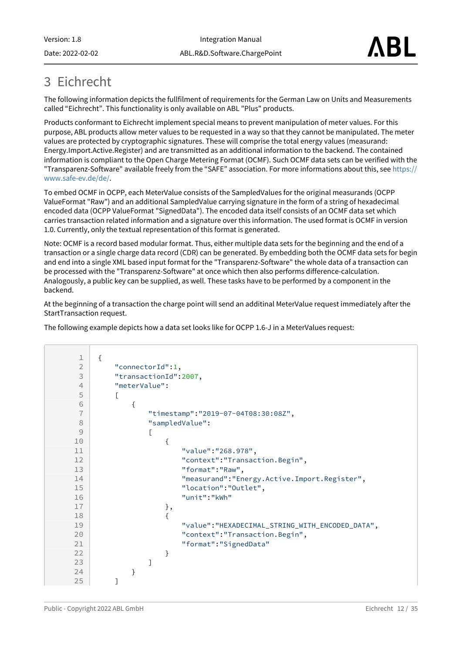# <span id="page-11-0"></span>3 Eichrecht

The following information depicts the fullfilment of requirements for the German Law on Units and Measurements called "Eichrecht". This functionality is only available on ABL "Plus" products.

Products conformant to Eichrecht implement special means to prevent manipulation of meter values. For this purpose, ABL products allow meter values to be requested in a way so that they cannot be manipulated. The meter values are protected by cryptographic signatures. These will comprise the total energy values (measurand: Energy.Import.Active.Register) and are transmitted as an additional information to the backend. The contained information is compliant to the Open Charge Metering Format (OCMF). Such OCMF data sets can be verified with the ["Transparenz-Software" available freely from the "SAFE" association. For more informations about this, see](https://www.safe-ev.de/de/) https:// www.safe-ev.de/de/.

To embed OCMF in OCPP, each MeterValue consists of the SampledValues for the original measurands (OCPP ValueFormat "Raw") and an additional SampledValue carrying signature in the form of a string of hexadecimal encoded data (OCPP ValueFormat "SignedData"). The encoded data itself consists of an OCMF data set which carries transaction related information and a signature over this information. The used format is OCMF in version 1.0. Currently, only the textual representation of this format is generated.

Note: OCMF is a record based modular format. Thus, either multiple data sets for the beginning and the end of a transaction or a single charge data record (CDR) can be generated. By embedding both the OCMF data sets for begin and end into a single XML based input format for the "Transparenz-Software" the whole data of a transaction can be processed with the "Transparenz-Software" at once which then also performs difference-calculation. Analogously, a public key can be supplied, as well. These tasks have to be performed by a component in the backend.

At the beginning of a transaction the charge point will send an additinal MeterValue request immediately after the StartTransaction request.

The following example depicts how a data set looks like for OCPP 1.6-J in a MeterValues request:

```
1 \mid \{2 "connectorId":1,
3 "transactionId":2007,
4 "meterValue":
 5 [
 6 {
7 "timestamp":"2019-07-04T08:30:08Z",
8 "sampledValue":
 9 [
10 {
11 "value":"268.978",
12 | Context": "Transaction. Begin",
13 | The mate of the More of the More of the More of the More of the More of the More of the More of the More o<br>More of the More of the More of the More of the More of the More of the More of the More of the More of the Mo
14 | measurand": "Energy.Active.Import.Register",
15 "location":"Outlet",
16 "unit":"kWh"
17 },
18 {
19 "value":"HEXADECIMAL_STRING_WITH_ENCODED_DATA",
20 CONTERT: "Transaction. Begin",
21 "format":"SignedData"
22 }
23 ]
24 }
25 ]
```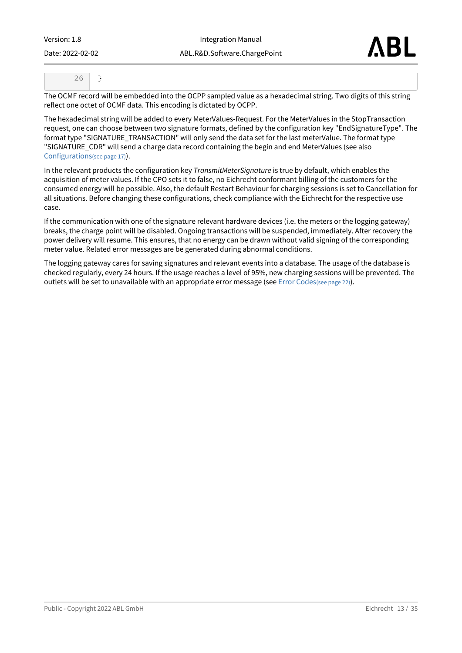| Version: 1.8 |  |
|--------------|--|
|              |  |

Date: 2022-02-02

Integration Manual ABL.R&D.Software.ChargePoint



The OCMF record will be embedded into the OCPP sampled value as a hexadecimal string. Two digits of this string reflect one octet of OCMF data. This encoding is dictated by OCPP.

The hexadecimal string will be added to every MeterValues-Request. For the MeterValues in the StopTransaction request, one can choose between two signature formats, defined by the configuration key "EndSignatureType". The format type "SIGNATURE\_TRANSACTION" will only send the data set for the last meterValue. The format type "SIGNATURE\_CDR" will send a charge data record containing the begin and end MeterValues (see also [Configurations](#page-16-2)(see page 17)).

In the relevant products the configuration key *TransmitMeterSignature* is true by default, which enables the acquisition of meter values. If the CPO sets it to false, no Eichrecht conformant billing of the customers for the consumed energy will be possible. Also, the default Restart Behaviour for charging sessions is set to Cancellation for all situations. Before changing these configurations, check compliance with the Eichrecht for the respective use case.

If the communication with one of the signature relevant hardware devices (i.e. the meters or the logging gateway) breaks, the charge point will be disabled. Ongoing transactions will be suspended, immediately. After recovery the power delivery will resume. This ensures, that no energy can be drawn without valid signing of the corresponding meter value. Related error messages are be generated during abnormal conditions.

The logging gateway cares for saving signatures and relevant events into a database. The usage of the database is checked regularly, every 24 hours. If the usage reaches a level of 95%, new charging sessions will be prevented. The outlets will be set to unavailable with an appropriate error message (see [Error Codes](#page-21-1)(see page 22)).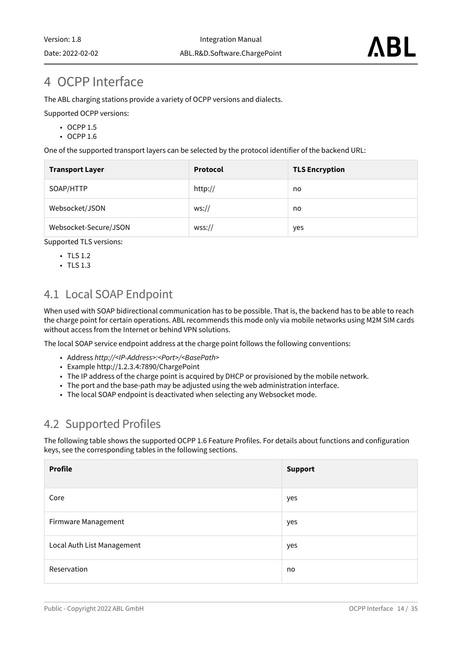## <span id="page-13-0"></span>4 OCPP Interface

The ABL charging stations provide a variety of OCPP versions and dialects.

Supported OCPP versions:

- OCPP 1.5
- OCPP 1.6

One of the supported transport layers can be selected by the protocol identifier of the backend URL:

| <b>Transport Layer</b> | <b>Protocol</b> | <b>TLS Encryption</b> |
|------------------------|-----------------|-----------------------|
| SOAP/HTTP              | http://         | no                    |
| Websocket/JSON         | ws://           | no                    |
| Websocket-Secure/JSON  | WSS://          | yes                   |

Supported TLS versions:

- TLS 1.2
- TLS 1.3

### <span id="page-13-1"></span>4.1 Local SOAP Endpoint

When used with SOAP bidirectional communication has to be possible. That is, the backend has to be able to reach the charge point for certain operations. ABL recommends this mode only via mobile networks using M2M SIM cards without access from the Internet or behind VPN solutions.

The local SOAP service endpoint address at the charge point follows the following conventions:

- Address *http://<IP-Address>:<Port>/<BasePath>*
- Example http://1.2.3.4:7890/ChargePoint
- The IP address of the charge point is acquired by DHCP or provisioned by the mobile network.
- The port and the base-path may be adjusted using the web administration interface.
- The local SOAP endpoint is deactivated when selecting any Websocket mode.

### <span id="page-13-2"></span>4.2 Supported Profiles

The following table shows the supported OCPP 1.6 Feature Profiles. For details about functions and configuration keys, see the corresponding tables in the following sections.

| <b>Profile</b>             | <b>Support</b> |
|----------------------------|----------------|
| Core                       | yes            |
| Firmware Management        | yes            |
| Local Auth List Management | yes            |
| Reservation                | no             |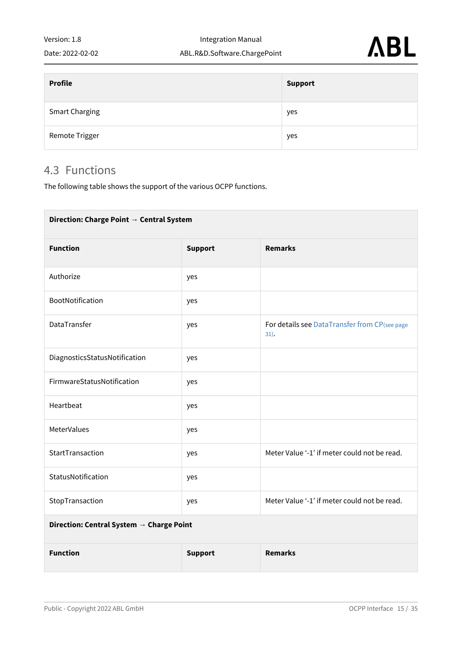Date: 2022-02-02

| <b>Profile</b>        | <b>Support</b> |
|-----------------------|----------------|
| <b>Smart Charging</b> | yes            |
| Remote Trigger        | yes            |

#### <span id="page-14-0"></span>4.3 Functions

The following table shows the support of the various OCPP functions.

| Direction: Charge Point → Central System            |                |                                                       |  |  |  |
|-----------------------------------------------------|----------------|-------------------------------------------------------|--|--|--|
| <b>Function</b><br><b>Support</b><br><b>Remarks</b> |                |                                                       |  |  |  |
| Authorize                                           | yes            |                                                       |  |  |  |
| BootNotification                                    | yes            |                                                       |  |  |  |
| DataTransfer                                        | yes            | For details see DataTransfer from CP(see page<br>31). |  |  |  |
| DiagnosticsStatusNotification                       | yes            |                                                       |  |  |  |
| FirmwareStatusNotification                          | yes            |                                                       |  |  |  |
| Heartbeat                                           | yes            |                                                       |  |  |  |
| MeterValues                                         | yes            |                                                       |  |  |  |
| StartTransaction                                    | yes            | Meter Value '-1' if meter could not be read.          |  |  |  |
| StatusNotification                                  | yes            |                                                       |  |  |  |
| StopTransaction                                     | yes            | Meter Value '-1' if meter could not be read.          |  |  |  |
| Direction: Central System → Charge Point            |                |                                                       |  |  |  |
| <b>Function</b>                                     | <b>Support</b> | <b>Remarks</b>                                        |  |  |  |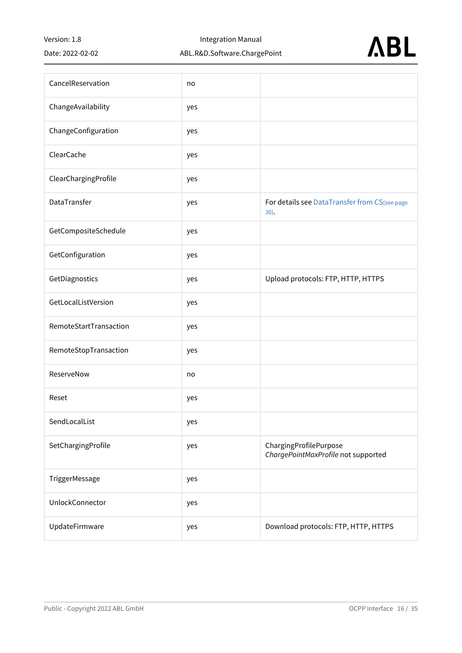Date: 2022-02-02

Integration Manual

#### ABL.R&D.Software.ChargePoint



| CancelReservation      | no  |                                                               |
|------------------------|-----|---------------------------------------------------------------|
| ChangeAvailability     | yes |                                                               |
| ChangeConfiguration    | yes |                                                               |
| ClearCache             | yes |                                                               |
| ClearChargingProfile   | yes |                                                               |
| DataTransfer           | yes | For details see DataTransfer from CS(see page<br>30).         |
| GetCompositeSchedule   | yes |                                                               |
| GetConfiguration       | yes |                                                               |
| GetDiagnostics         | yes | Upload protocols: FTP, HTTP, HTTPS                            |
| GetLocalListVersion    | yes |                                                               |
| RemoteStartTransaction | yes |                                                               |
| RemoteStopTransaction  | yes |                                                               |
| ReserveNow             | no  |                                                               |
| Reset                  | yes |                                                               |
| SendLocalList          | yes |                                                               |
| SetChargingProfile     | yes | ChargingProfilePurpose<br>ChargePointMaxProfile not supported |
| TriggerMessage         | yes |                                                               |
| UnlockConnector        | yes |                                                               |
| UpdateFirmware         | yes | Download protocols: FTP, HTTP, HTTPS                          |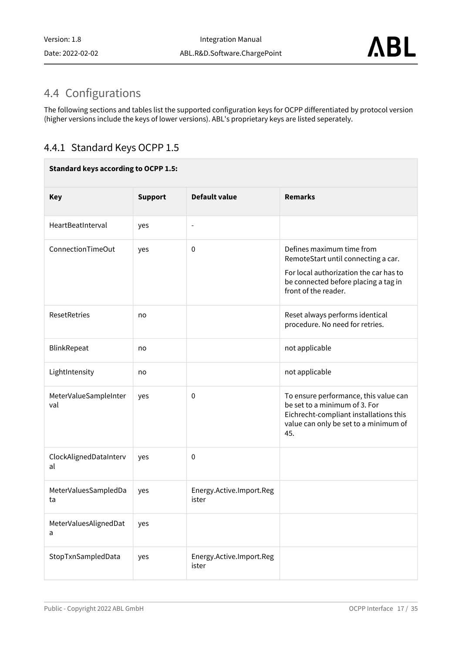## <span id="page-16-2"></span><span id="page-16-0"></span>4.4 Configurations

The following sections and tables list the supported configuration keys for OCPP differentiated by protocol version (higher versions include the keys of lower versions). ABL's proprietary keys are listed seperately.

#### <span id="page-16-1"></span>4.4.1 Standard Keys OCPP 1.5

#### **Standard keys according to OCPP 1.5:**

| <b>Key</b>                   | <b>Support</b> | <b>Default value</b>              | <b>Remarks</b>                                                                                                                                                             |
|------------------------------|----------------|-----------------------------------|----------------------------------------------------------------------------------------------------------------------------------------------------------------------------|
| HeartBeatInterval            | yes            | $\overline{\phantom{a}}$          |                                                                                                                                                                            |
| ConnectionTimeOut            | yes            | $\mathbf 0$                       | Defines maximum time from<br>RemoteStart until connecting a car.<br>For local authorization the car has to<br>be connected before placing a tag in<br>front of the reader. |
| <b>ResetRetries</b>          | no             |                                   | Reset always performs identical<br>procedure. No need for retries.                                                                                                         |
| BlinkRepeat                  | no             |                                   | not applicable                                                                                                                                                             |
| LightIntensity               | no             |                                   | not applicable                                                                                                                                                             |
| MeterValueSampleInter<br>val | yes            | 0                                 | To ensure performance, this value can<br>be set to a minimum of 3. For<br>Eichrecht-compliant installations this<br>value can only be set to a minimum of<br>45.           |
| ClockAlignedDataInterv<br>al | yes            | $\mathbf 0$                       |                                                                                                                                                                            |
| MeterValuesSampledDa<br>ta   | yes            | Energy.Active.Import.Reg<br>ister |                                                                                                                                                                            |
| MeterValuesAlignedDat<br>a   | yes            |                                   |                                                                                                                                                                            |
| StopTxnSampledData           | yes            | Energy.Active.Import.Reg<br>ister |                                                                                                                                                                            |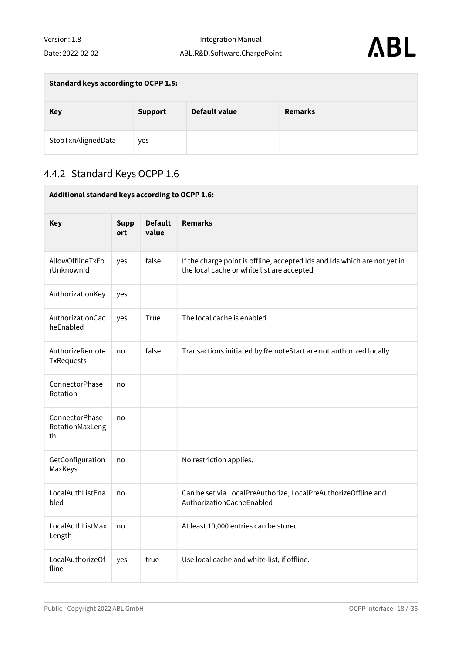$\sim$ 

| <b>Standard keys according to OCPP 1.5:</b> |                |               |                |  |
|---------------------------------------------|----------------|---------------|----------------|--|
| <b>Key</b>                                  | <b>Support</b> | Default value | <b>Remarks</b> |  |
| StopTxnAlignedData                          | yes            |               |                |  |

### <span id="page-17-0"></span>4.4.2 Standard Keys OCPP 1.6

| Additional standard keys according to OCPP 1.6: |                    |                         |                                                                                                                         |
|-------------------------------------------------|--------------------|-------------------------|-------------------------------------------------------------------------------------------------------------------------|
| <b>Key</b>                                      | <b>Supp</b><br>ort | <b>Default</b><br>value | <b>Remarks</b>                                                                                                          |
| AllowOfflineTxFo<br>rUnknownId                  | yes                | false                   | If the charge point is offline, accepted Ids and Ids which are not yet in<br>the local cache or white list are accepted |
| AuthorizationKey                                | yes                |                         |                                                                                                                         |
| AuthorizationCac<br>heEnabled                   | yes                | True                    | The local cache is enabled                                                                                              |
| AuthorizeRemote<br>TxRequests                   | no                 | false                   | Transactions initiated by RemoteStart are not authorized locally                                                        |
| ConnectorPhase<br>Rotation                      | no                 |                         |                                                                                                                         |
| ConnectorPhase<br>RotationMaxLeng<br>th         | no                 |                         |                                                                                                                         |
| GetConfiguration<br>MaxKeys                     | no                 |                         | No restriction applies.                                                                                                 |
| LocalAuthListEna<br>bled                        | no                 |                         | Can be set via LocalPreAuthorize, LocalPreAuthorizeOffline and<br>AuthorizationCacheEnabled                             |
| LocalAuthListMax<br>Length                      | no                 |                         | At least 10,000 entries can be stored.                                                                                  |
| LocalAuthorizeOf<br>fline                       | yes                | true                    | Use local cache and white-list, if offline.                                                                             |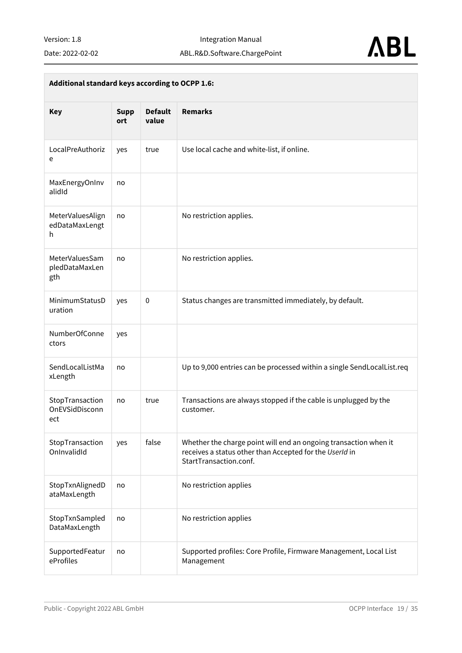

| Additional standard keys according to OCPP 1.6: |                    |                         |                                                                                                                                                       |
|-------------------------------------------------|--------------------|-------------------------|-------------------------------------------------------------------------------------------------------------------------------------------------------|
| <b>Key</b>                                      | <b>Supp</b><br>ort | <b>Default</b><br>value | <b>Remarks</b>                                                                                                                                        |
| LocalPreAuthoriz<br>e                           | yes                | true                    | Use local cache and white-list, if online.                                                                                                            |
| MaxEnergyOnInv<br>alidId                        | no                 |                         |                                                                                                                                                       |
| MeterValuesAlign<br>edDataMaxLengt<br>h         | no                 |                         | No restriction applies.                                                                                                                               |
| MeterValuesSam<br>pledDataMaxLen<br>gth         | no                 |                         | No restriction applies.                                                                                                                               |
| MinimumStatusD<br>uration                       | yes                | $\pmb{0}$               | Status changes are transmitted immediately, by default.                                                                                               |
| NumberOfConne<br>ctors                          | yes                |                         |                                                                                                                                                       |
| SendLocalListMa<br>xLength                      | no                 |                         | Up to 9,000 entries can be processed within a single SendLocalList.req                                                                                |
| StopTransaction<br>OnEVSidDisconn<br>ect        | no                 | true                    | Transactions are always stopped if the cable is unplugged by the<br>customer.                                                                         |
| StopTransaction<br>OnInvalidId                  | yes                | false                   | Whether the charge point will end an ongoing transaction when it<br>receives a status other than Accepted for the UserId in<br>StartTransaction.conf. |
| StopTxnAlignedD<br>ataMaxLength                 | no                 |                         | No restriction applies                                                                                                                                |
| StopTxnSampled<br>DataMaxLength                 | no                 |                         | No restriction applies                                                                                                                                |
| SupportedFeatur<br>eProfiles                    | no                 |                         | Supported profiles: Core Profile, Firmware Management, Local List<br>Management                                                                       |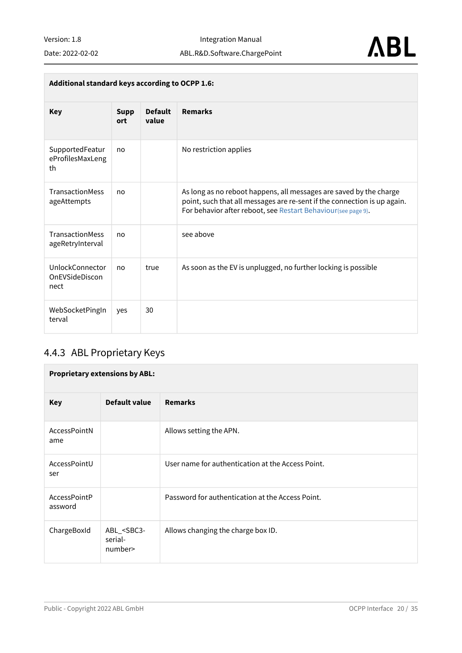| Additional standard keys according to OCPP 1.6:  |                    |                         |                                                                                                                                                                                                                 |
|--------------------------------------------------|--------------------|-------------------------|-----------------------------------------------------------------------------------------------------------------------------------------------------------------------------------------------------------------|
| <b>Key</b>                                       | <b>Supp</b><br>ort | <b>Default</b><br>value | <b>Remarks</b>                                                                                                                                                                                                  |
| SupportedFeatur<br>eProfilesMaxLeng<br>th        | no                 |                         | No restriction applies                                                                                                                                                                                          |
| TransactionMess<br>ageAttempts                   | no                 |                         | As long as no reboot happens, all messages are saved by the charge<br>point, such that all messages are re-sent if the connection is up again.<br>For behavior after reboot, see Restart Behaviour(see page 9). |
| <b>TransactionMess</b><br>ageRetryInterval       | no                 |                         | see above                                                                                                                                                                                                       |
| <b>UnlockConnector</b><br>OnEVSideDiscon<br>nect | no                 | true                    | As soon as the EV is unplugged, no further locking is possible                                                                                                                                                  |
| WebSocketPingIn<br>terval                        | yes                | 30                      |                                                                                                                                                                                                                 |

### <span id="page-19-0"></span>4.4.3 ABL Proprietary Keys

| <b>Proprietary extensions by ABL:</b> |                                                  |                                                   |  |
|---------------------------------------|--------------------------------------------------|---------------------------------------------------|--|
| <b>Key</b>                            | Default value                                    | <b>Remarks</b>                                    |  |
| AccessPointN<br>ame                   |                                                  | Allows setting the APN.                           |  |
| AccessPointU<br>ser                   |                                                  | User name for authentication at the Access Point. |  |
| AccessPointP<br>assword               |                                                  | Password for authentication at the Access Point.  |  |
| ChargeBoxId                           | ABL_ <sbc3-<br>serial-<br/>number&gt;</sbc3-<br> | Allows changing the charge box ID.                |  |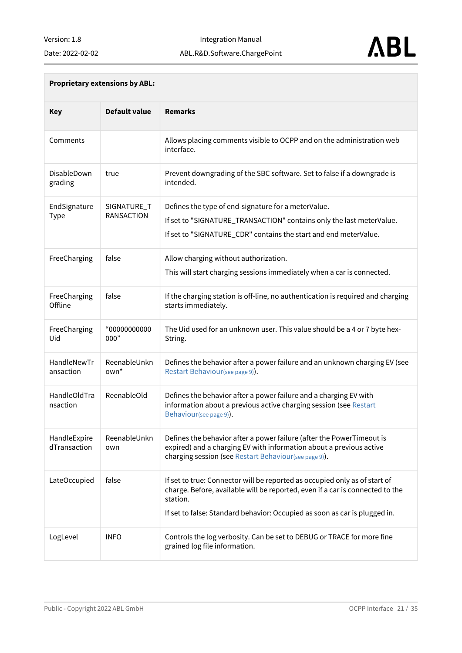Integration Manual ABL.R&D.Software.ChargePoint



| <b>Proprietary extensions by ABL:</b> |  |  |
|---------------------------------------|--|--|
|---------------------------------------|--|--|

| <b>Key</b>                   | <b>Default value</b>             | <b>Remarks</b>                                                                                                                                                                                                                                        |
|------------------------------|----------------------------------|-------------------------------------------------------------------------------------------------------------------------------------------------------------------------------------------------------------------------------------------------------|
| Comments                     |                                  | Allows placing comments visible to OCPP and on the administration web<br>interface.                                                                                                                                                                   |
| DisableDown<br>grading       | true                             | Prevent downgrading of the SBC software. Set to false if a downgrade is<br>intended.                                                                                                                                                                  |
| EndSignature<br><b>Type</b>  | SIGNATURE_T<br><b>RANSACTION</b> | Defines the type of end-signature for a meterValue.<br>If set to "SIGNATURE_TRANSACTION" contains only the last meterValue.<br>If set to "SIGNATURE_CDR" contains the start and end meterValue.                                                       |
| FreeCharging                 | false                            | Allow charging without authorization.<br>This will start charging sessions immediately when a car is connected.                                                                                                                                       |
| FreeCharging<br>Offline      | false                            | If the charging station is off-line, no authentication is required and charging<br>starts immediately.                                                                                                                                                |
| FreeCharging<br>Uid          | "00000000000<br>000"             | The Uid used for an unknown user. This value should be a 4 or 7 byte hex-<br>String.                                                                                                                                                                  |
| HandleNewTr<br>ansaction     | ReenableUnkn<br>own*             | Defines the behavior after a power failure and an unknown charging EV (see<br>Restart Behaviour(see page 9)).                                                                                                                                         |
| HandleOldTra<br>nsaction     | ReenableOld                      | Defines the behavior after a power failure and a charging EV with<br>information about a previous active charging session (see Restart<br>Behaviour(see page 9)).                                                                                     |
| HandleExpire<br>dTransaction | ReenableUnkn<br>own              | Defines the behavior after a power failure (after the PowerTimeout is<br>expired) and a charging EV with information about a previous active<br>charging session (see Restart Behaviour(see page 9)).                                                 |
| LateOccupied                 | false                            | If set to true: Connector will be reported as occupied only as of start of<br>charge. Before, available will be reported, even if a car is connected to the<br>station.<br>If set to false: Standard behavior: Occupied as soon as car is plugged in. |
| LogLevel                     | <b>INFO</b>                      | Controls the log verbosity. Can be set to DEBUG or TRACE for more fine<br>grained log file information.                                                                                                                                               |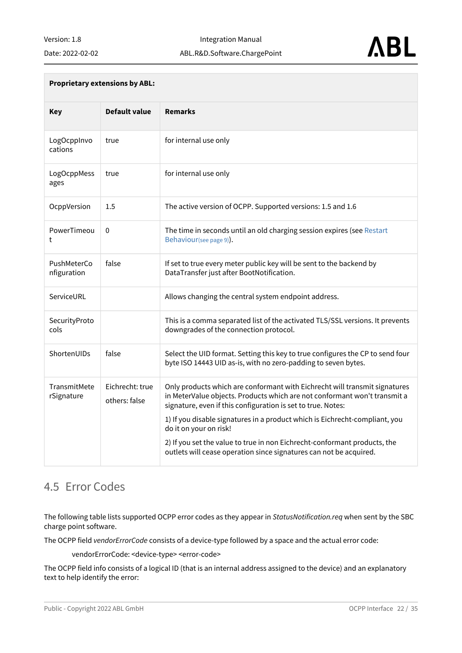

#### **Proprietary extensions by ABL:**

| <b>Key</b>                 | <b>Default value</b>             | <b>Remarks</b>                                                                                                                                                                                                          |
|----------------------------|----------------------------------|-------------------------------------------------------------------------------------------------------------------------------------------------------------------------------------------------------------------------|
| LogOcppInvo<br>cations     | true                             | for internal use only                                                                                                                                                                                                   |
| LogOcppMess<br>ages        | true                             | for internal use only                                                                                                                                                                                                   |
| OcppVersion                | 1.5                              | The active version of OCPP. Supported versions: 1.5 and 1.6                                                                                                                                                             |
| PowerTimeou<br>t           | $\Omega$                         | The time in seconds until an old charging session expires (see Restart<br>Behaviour(see page 9)).                                                                                                                       |
| PushMeterCo<br>nfiguration | false                            | If set to true every meter public key will be sent to the backend by<br>DataTransfer just after BootNotification.                                                                                                       |
| ServiceURL                 |                                  | Allows changing the central system endpoint address.                                                                                                                                                                    |
| SecurityProto<br>cols      |                                  | This is a comma separated list of the activated TLS/SSL versions. It prevents<br>downgrades of the connection protocol.                                                                                                 |
| ShortenUIDs                | false                            | Select the UID format. Setting this key to true configures the CP to send four<br>byte ISO 14443 UID as-is, with no zero-padding to seven bytes.                                                                        |
| TransmitMete<br>rSignature | Eichrecht: true<br>others: false | Only products which are conformant with Eichrecht will transmit signatures<br>in MeterValue objects. Products which are not conformant won't transmit a<br>signature, even if this configuration is set to true. Notes: |
|                            |                                  | 1) If you disable signatures in a product which is Eichrecht-compliant, you<br>do it on your on risk!                                                                                                                   |
|                            |                                  | 2) If you set the value to true in non Eichrecht-conformant products, the<br>outlets will cease operation since signatures can not be acquired.                                                                         |

#### <span id="page-21-1"></span><span id="page-21-0"></span>4.5 Error Codes

The following table lists supported OCPP error codes as they appear in *StatusNotification.req* when sent by the SBC charge point software.

The OCPP field *vendorErrorCode* consists of a device-type followed by a space and the actual error code:

vendorErrorCode: <device-type> <error-code>

The OCPP field info consists of a logical ID (that is an internal address assigned to the device) and an explanatory text to help identify the error: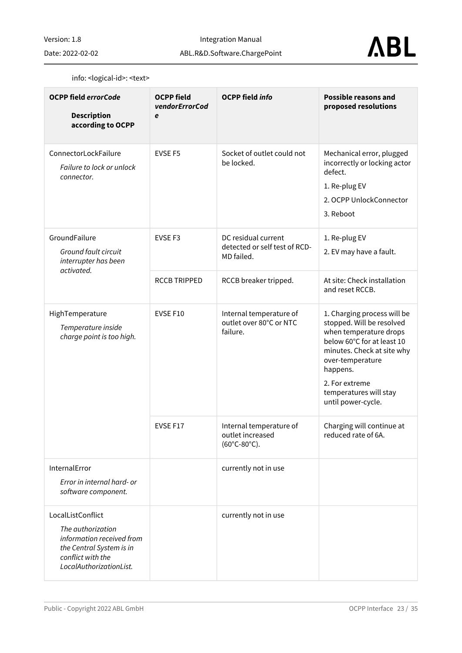Date: 2022-02-02



#### info: <logical-id>: <text>

| <b>OCPP field errorCode</b><br><b>Description</b><br>according to OCPP                                                                          | <b>OCPP field</b><br>vendorErrorCod<br>e | <b>OCPP field info</b>                                                         | <b>Possible reasons and</b><br>proposed resolutions                                                                                                                                                                                              |
|-------------------------------------------------------------------------------------------------------------------------------------------------|------------------------------------------|--------------------------------------------------------------------------------|--------------------------------------------------------------------------------------------------------------------------------------------------------------------------------------------------------------------------------------------------|
| ConnectorLockFailure<br>Failure to lock or unlock<br>connector.                                                                                 | <b>EVSE F5</b>                           | Socket of outlet could not<br>be locked.                                       | Mechanical error, plugged<br>incorrectly or locking actor<br>defect.<br>1. Re-plug EV<br>2. OCPP UnlockConnector<br>3. Reboot                                                                                                                    |
| GroundFailure<br>Ground fault circuit<br>interrupter has been<br>activated.                                                                     | EVSE <sub>F3</sub>                       | DC residual current<br>detected or self test of RCD-<br>MD failed.             | 1. Re-plug EV<br>2. EV may have a fault.                                                                                                                                                                                                         |
|                                                                                                                                                 | <b>RCCB TRIPPED</b>                      | RCCB breaker tripped.                                                          | At site: Check installation<br>and reset RCCB.                                                                                                                                                                                                   |
| HighTemperature<br>Temperature inside<br>charge point is too high.                                                                              | EVSE F10                                 | Internal temperature of<br>outlet over 80°C or NTC<br>failure.                 | 1. Charging process will be<br>stopped. Will be resolved<br>when temperature drops<br>below 60°C for at least 10<br>minutes. Check at site why<br>over-temperature<br>happens.<br>2. For extreme<br>temperatures will stay<br>until power-cycle. |
|                                                                                                                                                 | EVSE F17                                 | Internal temperature of<br>outlet increased<br>$(60^{\circ}C - 80^{\circ}C)$ . | Charging will continue at<br>reduced rate of 6A.                                                                                                                                                                                                 |
| InternalError<br>Error in internal hard- or<br>software component.                                                                              |                                          | currently not in use                                                           |                                                                                                                                                                                                                                                  |
| LocalListConflict<br>The authorization<br>information received from<br>the Central System is in<br>conflict with the<br>LocalAuthorizationList. |                                          | currently not in use                                                           |                                                                                                                                                                                                                                                  |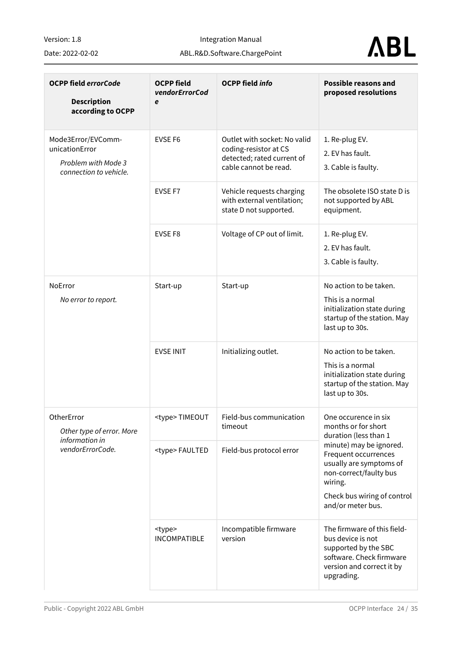Integration Manual

#### Date: 2022-02-02

ABL.R&D.Software.ChargePoint

# **ABL**

| <b>OCPP field errorCode</b><br><b>Description</b><br>according to OCPP                | <b>OCPP field</b><br>vendorErrorCod<br>e | <b>OCPP field info</b>                                                                                       | <b>Possible reasons and</b><br>proposed resolutions                                                                                                                 |
|---------------------------------------------------------------------------------------|------------------------------------------|--------------------------------------------------------------------------------------------------------------|---------------------------------------------------------------------------------------------------------------------------------------------------------------------|
| Mode3Error/EVComm-<br>unicationError<br>Problem with Mode 3<br>connection to vehicle. | <b>EVSE F6</b>                           | Outlet with socket: No valid<br>coding-resistor at CS<br>detected; rated current of<br>cable cannot be read. | 1. Re-plug EV.<br>2. EV has fault.<br>3. Cable is faulty.                                                                                                           |
|                                                                                       | EVSE F7                                  | Vehicle requests charging<br>with external ventilation;<br>state D not supported.                            | The obsolete ISO state D is<br>not supported by ABL<br>equipment.                                                                                                   |
|                                                                                       | EVSE F8                                  | Voltage of CP out of limit.                                                                                  | 1. Re-plug EV.<br>2. EV has fault.<br>3. Cable is faulty.                                                                                                           |
| NoError<br>No error to report.                                                        | Start-up                                 | Start-up                                                                                                     | No action to be taken.<br>This is a normal<br>initialization state during<br>startup of the station. May<br>last up to 30s.                                         |
|                                                                                       | <b>EVSE INIT</b>                         | Initializing outlet.                                                                                         | No action to be taken.<br>This is a normal<br>initialization state during<br>startup of the station. May<br>last up to 30s.                                         |
| OtherError<br>Other type of error. More                                               | <type>TIMEOUT</type>                     | Field-bus communication<br>timeout                                                                           | One occurence in six<br>months or for short<br>duration (less than 1                                                                                                |
| information in<br>vendorErrorCode.                                                    | <type>FAULTED</type>                     | Field-bus protocol error                                                                                     | minute) may be ignored.<br>Frequent occurrences<br>usually are symptoms of<br>non-correct/faulty bus<br>wiring.<br>Check bus wiring of control<br>and/or meter bus. |
|                                                                                       | <type><br/><b>INCOMPATIBLE</b></type>    | Incompatible firmware<br>version                                                                             | The firmware of this field-<br>bus device is not<br>supported by the SBC<br>software. Check firmware<br>version and correct it by<br>upgrading.                     |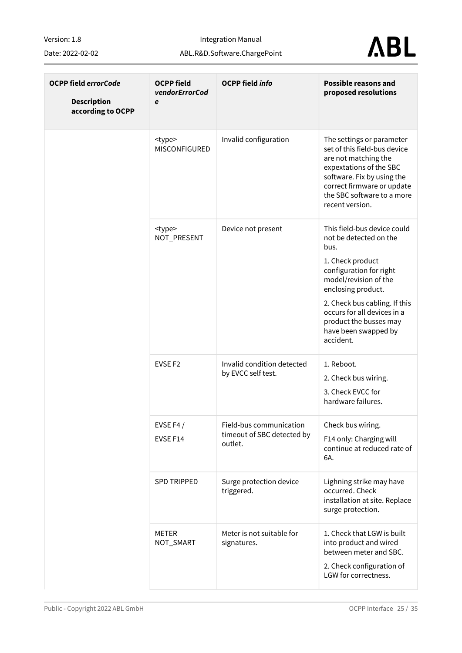Date: 2022-02-02

Integration Manual

ABL.R&D.Software.ChargePoint

# **ABL**

| <b>OCPP field errorCode</b><br><b>Description</b><br>according to OCPP | <b>OCPP field</b><br>vendorErrorCod<br>e | <b>OCPP field info</b>                                           | <b>Possible reasons and</b><br>proposed resolutions                                                                                                                                                                                                                                        |
|------------------------------------------------------------------------|------------------------------------------|------------------------------------------------------------------|--------------------------------------------------------------------------------------------------------------------------------------------------------------------------------------------------------------------------------------------------------------------------------------------|
|                                                                        | <type><br/>MISCONFIGURED</type>          | Invalid configuration                                            | The settings or parameter<br>set of this field-bus device<br>are not matching the<br>expextations of the SBC<br>software. Fix by using the<br>correct firmware or update<br>the SBC software to a more<br>recent version.                                                                  |
|                                                                        | <type><br/>NOT_PRESENT</type>            | Device not present                                               | This field-bus device could<br>not be detected on the<br>bus.<br>1. Check product<br>configuration for right<br>model/revision of the<br>enclosing product.<br>2. Check bus cabling. If this<br>occurs for all devices in a<br>product the busses may<br>have been swapped by<br>accident. |
|                                                                        | EVSE <sub>F2</sub>                       | Invalid condition detected<br>by EVCC self test.                 | 1. Reboot.<br>2. Check bus wiring.<br>3. Check EVCC for<br>hardware failures.                                                                                                                                                                                                              |
|                                                                        | EVSE F4 $/$<br>EVSE F14                  | Field-bus communication<br>timeout of SBC detected by<br>outlet. | Check bus wiring.<br>F14 only: Charging will<br>continue at reduced rate of<br>6A.                                                                                                                                                                                                         |
|                                                                        | <b>SPD TRIPPED</b>                       | Surge protection device<br>triggered.                            | Lighning strike may have<br>occurred. Check<br>installation at site. Replace<br>surge protection.                                                                                                                                                                                          |
|                                                                        | METER<br>NOT_SMART                       | Meter is not suitable for<br>signatures.                         | 1. Check that LGW is built<br>into product and wired<br>between meter and SBC.<br>2. Check configuration of<br>LGW for correctness.                                                                                                                                                        |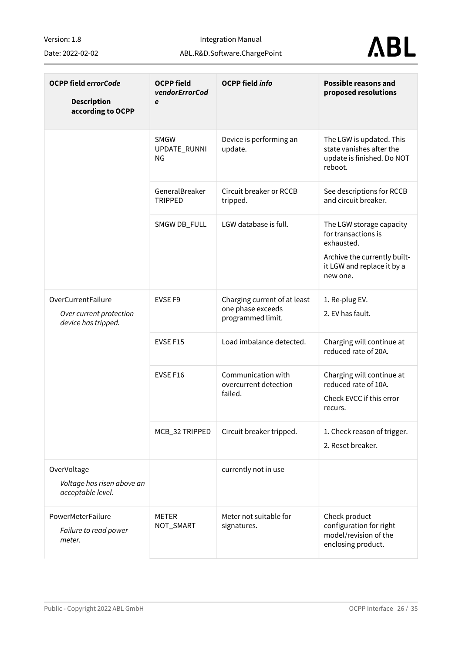Integration Manual

ABL.R&D.Software.ChargePoint

Date: 2022-02-02



| <b>OCPP field errorCode</b><br><b>Description</b><br>according to OCPP | <b>OCPP field</b><br>vendorErrorCod<br>e | <b>OCPP field info</b>                                                 | <b>Possible reasons and</b><br>proposed resolutions                                                                                     |
|------------------------------------------------------------------------|------------------------------------------|------------------------------------------------------------------------|-----------------------------------------------------------------------------------------------------------------------------------------|
|                                                                        | <b>SMGW</b><br>UPDATE_RUNNI<br>ΝG        | Device is performing an<br>update.                                     | The LGW is updated. This<br>state vanishes after the<br>update is finished. Do NOT<br>reboot.                                           |
|                                                                        | GeneralBreaker<br><b>TRIPPED</b>         | Circuit breaker or RCCB<br>tripped.                                    | See descriptions for RCCB<br>and circuit breaker.                                                                                       |
|                                                                        | SMGW DB_FULL                             | LGW database is full.                                                  | The LGW storage capacity<br>for transactions is<br>exhausted.<br>Archive the currently built-<br>it LGW and replace it by a<br>new one. |
| OverCurrentFailure<br>Over current protection<br>device has tripped.   | EVSE F9                                  | Charging current of at least<br>one phase exceeds<br>programmed limit. | 1. Re-plug EV.<br>2. EV has fault.                                                                                                      |
|                                                                        | EVSE F15                                 | Load imbalance detected.                                               | Charging will continue at<br>reduced rate of 20A.                                                                                       |
|                                                                        | EVSE F16                                 | Communication with<br>overcurrent detection<br>failed.                 | Charging will continue at<br>reduced rate of 10A.<br>Check EVCC if this error<br>recurs.                                                |
|                                                                        | MCB_32 TRIPPED                           | Circuit breaker tripped.                                               | 1. Check reason of trigger.<br>2. Reset breaker.                                                                                        |
| OverVoltage<br>Voltage has risen above an<br>acceptable level.         |                                          | currently not in use                                                   |                                                                                                                                         |
| PowerMeterFailure<br>Failure to read power<br>meter.                   | <b>METER</b><br>NOT_SMART                | Meter not suitable for<br>signatures.                                  | Check product<br>configuration for right<br>model/revision of the<br>enclosing product.                                                 |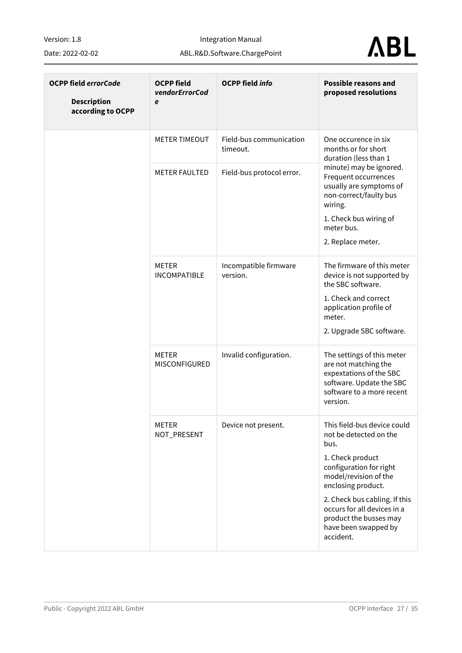Date: 2022-02-02

Integration Manual

ABL.R&D.Software.ChargePoint

# **ABL**

| <b>OCPP field errorCode</b><br><b>Description</b><br>according to OCPP | <b>OCPP field</b><br>vendorErrorCod<br>e | <b>OCPP field info</b>              | <b>Possible reasons and</b><br>proposed resolutions                                                                                                                                                                                                                                        |
|------------------------------------------------------------------------|------------------------------------------|-------------------------------------|--------------------------------------------------------------------------------------------------------------------------------------------------------------------------------------------------------------------------------------------------------------------------------------------|
|                                                                        | <b>METER TIMEOUT</b>                     | Field-bus communication<br>timeout. | One occurence in six<br>months or for short<br>duration (less than 1                                                                                                                                                                                                                       |
|                                                                        | <b>METER FAULTED</b>                     | Field-bus protocol error.           | minute) may be ignored.<br>Frequent occurrences<br>usually are symptoms of<br>non-correct/faulty bus<br>wiring.<br>1. Check bus wiring of<br>meter bus.<br>2. Replace meter.                                                                                                               |
|                                                                        | METER<br><b>INCOMPATIBLE</b>             | Incompatible firmware<br>version.   | The firmware of this meter<br>device is not supported by<br>the SBC software.<br>1. Check and correct<br>application profile of<br>meter.<br>2. Upgrade SBC software.                                                                                                                      |
|                                                                        | <b>METER</b><br>MISCONFIGURED            | Invalid configuration.              | The settings of this meter<br>are not matching the<br>expextations of the SBC<br>software. Update the SBC<br>software to a more recent<br>version.                                                                                                                                         |
|                                                                        | <b>METER</b><br>NOT_PRESENT              | Device not present.                 | This field-bus device could<br>not be detected on the<br>bus.<br>1. Check product<br>configuration for right<br>model/revision of the<br>enclosing product.<br>2. Check bus cabling. If this<br>occurs for all devices in a<br>product the busses may<br>have been swapped by<br>accident. |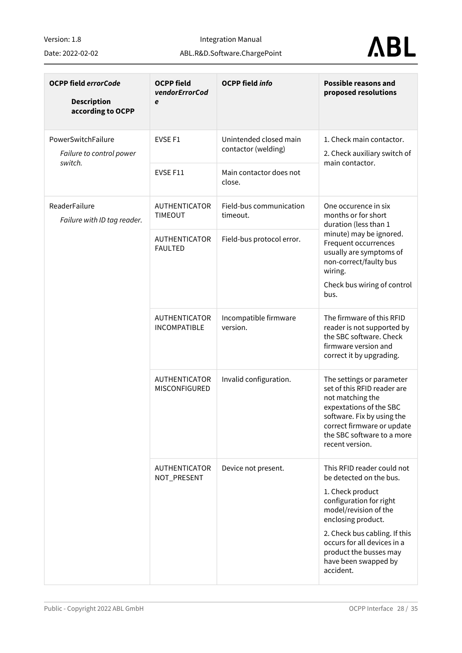Date: 2022-02-02

Integration Manual

ABL.R&D.Software.ChargePoint



| <b>OCPP field errorCode</b><br><b>Description</b><br>according to OCPP | <b>OCPP field</b><br>vendorErrorCod<br>e    | <b>OCPP field info</b>                        | <b>Possible reasons and</b><br>proposed resolutions                                                                                                                                                                                                                                |
|------------------------------------------------------------------------|---------------------------------------------|-----------------------------------------------|------------------------------------------------------------------------------------------------------------------------------------------------------------------------------------------------------------------------------------------------------------------------------------|
| PowerSwitchFailure<br>Failure to control power<br>switch.              | EVSE F1                                     | Unintended closed main<br>contactor (welding) | 1. Check main contactor.<br>2. Check auxiliary switch of<br>main contactor.                                                                                                                                                                                                        |
|                                                                        | EVSE F11                                    | Main contactor does not<br>close.             |                                                                                                                                                                                                                                                                                    |
| ReaderFailure<br>Failure with ID tag reader.                           | <b>AUTHENTICATOR</b><br><b>TIMEOUT</b>      | Field-bus communication<br>timeout.           | One occurence in six<br>months or for short<br>duration (less than 1                                                                                                                                                                                                               |
|                                                                        | <b>AUTHENTICATOR</b><br><b>FAULTED</b>      | Field-bus protocol error.                     | minute) may be ignored.<br>Frequent occurrences<br>usually are symptoms of<br>non-correct/faulty bus<br>wiring.<br>Check bus wiring of control<br>bus.                                                                                                                             |
|                                                                        | <b>AUTHENTICATOR</b><br><b>INCOMPATIBLE</b> | Incompatible firmware<br>version.             | The firmware of this RFID<br>reader is not supported by<br>the SBC software. Check<br>firmware version and<br>correct it by upgrading.                                                                                                                                             |
|                                                                        | <b>AUTHENTICATOR</b><br>MISCONFIGURED       | Invalid configuration.                        | The settings or parameter<br>set of this RFID reader are<br>not matching the<br>expextations of the SBC<br>software. Fix by using the<br>correct firmware or update<br>the SBC software to a more<br>recent version.                                                               |
|                                                                        | <b>AUTHENTICATOR</b><br>NOT_PRESENT         | Device not present.                           | This RFID reader could not<br>be detected on the bus.<br>1. Check product<br>configuration for right<br>model/revision of the<br>enclosing product.<br>2. Check bus cabling. If this<br>occurs for all devices in a<br>product the busses may<br>have been swapped by<br>accident. |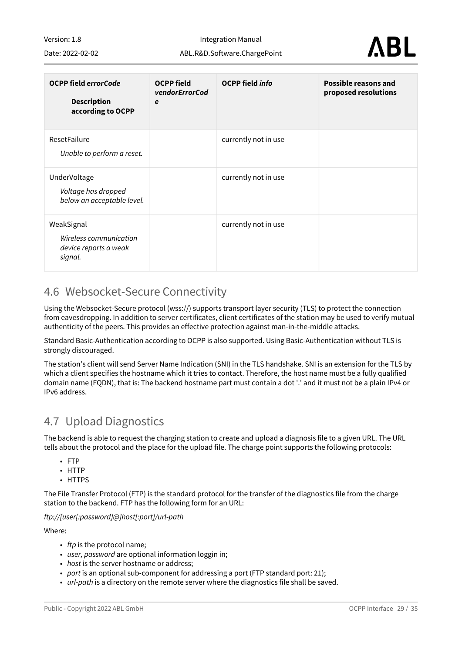Integration Manual ABL.R&D.Software.ChargePoint

Date: 2022-02-02



| <b>OCPP field errorCode</b><br><b>Description</b><br>according to OCPP   | <b>OCPP</b> field<br>vendorErrorCod<br>e | <b>OCPP</b> field <i>info</i> | <b>Possible reasons and</b><br>proposed resolutions |
|--------------------------------------------------------------------------|------------------------------------------|-------------------------------|-----------------------------------------------------|
| ResetFailure<br>Unable to perform a reset.                               |                                          | currently not in use          |                                                     |
| UnderVoltage<br>Voltage has dropped<br>below an acceptable level.        |                                          | currently not in use          |                                                     |
| WeakSignal<br>Wireless communication<br>device reports a weak<br>signal. |                                          | currently not in use          |                                                     |

#### <span id="page-28-0"></span>4.6 Websocket-Secure Connectivity

Using the Websocket-Secure protocol (wss://) supports transport layer security (TLS) to protect the connection from eavesdropping. In addition to server certificates, client certificates of the station may be used to verify mutual authenticity of the peers. This provides an effective protection against man-in-the-middle attacks.

Standard Basic-Authentication according to OCPP is also supported. Using Basic-Authentication without TLS is strongly discouraged.

The station's client will send Server Name Indication (SNI) in the TLS handshake. SNI is an extension for the TLS by which a client specifies the hostname which it tries to contact. Therefore, the host name must be a fully qualified domain name (FQDN), that is: The backend hostname part must contain a dot '.' and it must not be a plain IPv4 or IPv6 address.

### <span id="page-28-1"></span>4.7 Upload Diagnostics

The backend is able to request the charging station to create and upload a diagnosis file to a given URL. The URL tells about the protocol and the place for the upload file. The charge point supports the following protocols:

- FTP
- HTTP
- HTTPS

The File Transfer Protocol (FTP) is the standard protocol for the transfer of the diagnostics file from the charge station to the backend. FTP has the following form for an URL:

*ftp://[user[:password]@]host[:port]/url-path*

Where:

- *ftp* is the protocol name;
- *user, password* are optional information loggin in;
- *host* is the server hostname or address;
- *port* is an optional sub-component for addressing a port (FTP standard port: 21);
- *url-path* is a directory on the remote server where the diagnostics file shall be saved.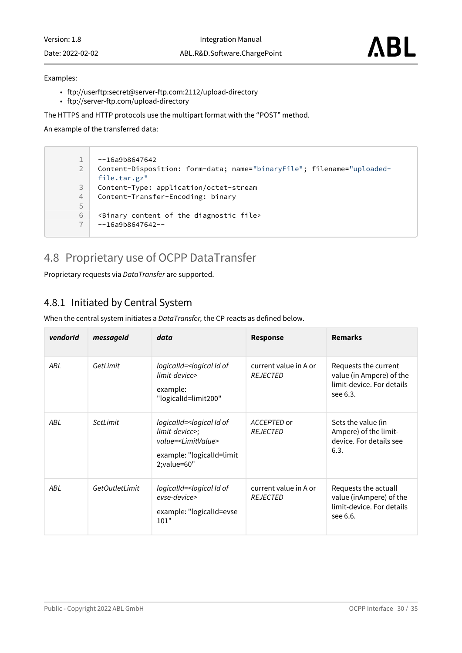Version: 1.8 Date: 2022-02-02 Integration Manual

#### Examples:

- ftp://userftp:secret@server-ftp.com:2112/upload-directory
- ftp://server-ftp.com/upload-directory

The HTTPS and HTTP protocols use the multipart format with the "POST" method.

An example of the transferred data:

 $1 \mid -16a9b8647642$ Content-Disposition: form-data; name="binaryFile"; filename="uploadedfile.tar.gz" 2 3 Content-Type: application/octet-stream 4 Content-Transfer-Encoding: binary 5 6  $\leq$   $\leq$   $\leq$   $\leq$   $\leq$   $\leq$   $\leq$   $\leq$   $\leq$   $\leq$   $\leq$   $\leq$   $\leq$   $\leq$   $\leq$   $\leq$   $\leq$   $\leq$   $\leq$   $\leq$   $\leq$   $\leq$   $\leq$   $\leq$   $\leq$   $\leq$   $\leq$   $\leq$   $\leq$   $\leq$   $\leq$   $\leq$   $\leq$   $\leq$   $\leq$   $\leq$   $\le$  $-16a9b8647642--$ 

#### <span id="page-29-0"></span>4.8 Proprietary use of OCPP DataTransfer

<span id="page-29-1"></span>Proprietary requests via *DataTransfer* are supported.

#### <span id="page-29-2"></span>4.8.1 Initiated by Central System

When the central system initiates a *DataTransfer,* the CP reacts as defined below.

| vendorld | messageId      | data                                                                                                                                             | <b>Response</b>                          | <b>Remarks</b>                                                                            |
|----------|----------------|--------------------------------------------------------------------------------------------------------------------------------------------------|------------------------------------------|-------------------------------------------------------------------------------------------|
| ABL      | GetLimit       | logicalId= <logical id="" of<br="">limit-device&gt;<br/>example:<br/>"logicalId=limit200"</logical>                                              | current value in A or<br><b>REJECTED</b> | Requests the current<br>value (in Ampere) of the<br>limit-device. For details<br>see 6.3. |
| ABL      | SetLimit       | logicalId= <logical id="" of<br="">limit-device&gt;;<br/>value=<limitvalue><br/>example: "logicalId=limit<br/>2;value=60"</limitvalue></logical> | ACCEPTED or<br><b>REJECTED</b>           | Sets the value (in<br>Ampere) of the limit-<br>device. For details see<br>6.3.            |
| ABL      | GetOutletLimit | logicalId= <logical id="" of<br="">evse-device&gt;<br/>example: "logicalId=evse<br/>101"</logical>                                               | current value in A or<br><b>REJECTED</b> | Requests the actuall<br>value (inAmpere) of the<br>limit-device. For details<br>see 6.6.  |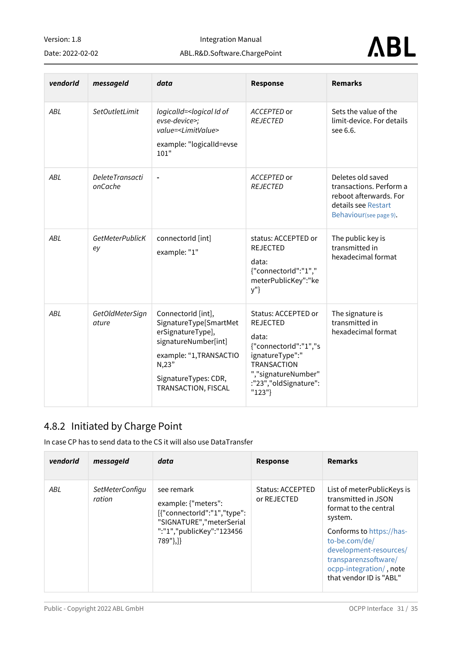Integration Manual

#### Date: 2022-02-02

**ABL** 

|  | ABL.R&D.Software.ChargePoint |
|--|------------------------------|
|  |                              |

| vendorld | messageId                         | data                                                                                                                                                                          | <b>Response</b>                                                                                                                                                             | <b>Remarks</b>                                                                                                          |
|----------|-----------------------------------|-------------------------------------------------------------------------------------------------------------------------------------------------------------------------------|-----------------------------------------------------------------------------------------------------------------------------------------------------------------------------|-------------------------------------------------------------------------------------------------------------------------|
| ABL      | SetOutletLimit                    | logicalId= <logical id="" of<br="">evse-device&gt;;<br/>value=<limitvalue><br/>example: "logicalId=evse<br/>101"</limitvalue></logical>                                       | ACCEPTED or<br><b>REJECTED</b>                                                                                                                                              | Sets the value of the<br>limit-device. For details<br>see 6.6.                                                          |
| ABL      | <b>DeleteTransacti</b><br>onCache | $\blacksquare$                                                                                                                                                                | ACCEPTED or<br><b>REJECTED</b>                                                                                                                                              | Deletes old saved<br>transactions. Perform a<br>reboot afterwards. For<br>details see Restart<br>Behaviour(see page 9). |
| ABL      | <b>GetMeterPublicK</b><br>ey      | connectorId [int]<br>example: "1"                                                                                                                                             | status: ACCEPTED or<br><b>REJECTED</b><br>data:<br>{"connectorId":"1","<br>meterPublicKey":"ke<br>y"}                                                                       | The public key is<br>transmitted in<br>hexadecimal format                                                               |
| ABL      | GetOldMeterSign<br>ature          | ConnectorId [int],<br>SignatureType[SmartMet<br>erSignatureType],<br>signatureNumber[int]<br>example: "1, TRANSACTIO<br>N, 23"<br>SignatureTypes: CDR,<br>TRANSACTION, FISCAL | Status: ACCEPTED or<br><b>REJECTED</b><br>data:<br>{"connectorId":"1","s<br>ignatureType":"<br><b>TRANSACTION</b><br>","signatureNumber"<br>:"23","oldSignature":<br>"123"} | The signature is<br>transmitted in<br>hexadecimal format                                                                |

### <span id="page-30-1"></span><span id="page-30-0"></span>4.8.2 Initiated by Charge Point

In case CP has to send data to the CS it will also use DataTransfer

| vendorld | messageId                        | data                                                                                                                                  | <b>Response</b>                        | <b>Remarks</b>                                                                                                                                                                                                  |
|----------|----------------------------------|---------------------------------------------------------------------------------------------------------------------------------------|----------------------------------------|-----------------------------------------------------------------------------------------------------------------------------------------------------------------------------------------------------------------|
| ABL      | <i>SetMeterConfigu</i><br>ration | see remark<br>example: {"meters":<br>[{"connectorId":"1","type":<br>"SIGNATURE","meterSerial<br>":"1","publicKey":"123456<br>789"},]} | <b>Status: ACCEPTED</b><br>or REJECTED | List of meterPublicKeys is<br>transmitted in JSON<br>format to the central<br>system.<br>Conforms to https://has-<br>to-be.com/de/<br>development-resources/<br>transparenzsoftware/<br>ocpp-integration/, note |
|          |                                  |                                                                                                                                       |                                        | that vendor ID is "ABI"                                                                                                                                                                                         |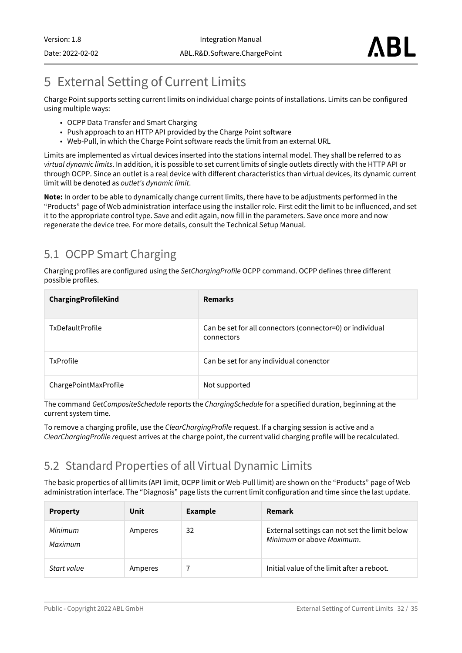## <span id="page-31-3"></span><span id="page-31-0"></span>5 External Setting of Current Limits

Charge Point supports setting current limits on individual charge points of installations. Limits can be configured using multiple ways:

- OCPP Data Transfer and Smart Charging
- Push approach to an HTTP API provided by the Charge Point software
- Web-Pull, in which the Charge Point software reads the limit from an external URL

Limits are implemented as virtual devices inserted into the stations internal model. They shall be referred to as *virtual dynamic limits*. In addition, it is possible to set current limits of single outlets directly with the HTTP API or through OCPP. Since an outlet is a real device with different characteristics than virtual devices, its dynamic current limit will be denoted as *outlet's dynamic limit*.

**Note:** In order to be able to dynamically change current limits, there have to be adjustments performed in the "Products" page of Web administration interface using the installer role. First edit the limit to be influenced, and set it to the appropriate control type. Save and edit again, now fill in the parameters. Save once more and now regenerate the device tree. For more details, consult the Technical Setup Manual.

## <span id="page-31-1"></span>5.1 OCPP Smart Charging

Charging profiles are configured using the *SetChargingProfile* OCPP command. OCPP defines three different possible profiles.

| ChargingProfileKind     | <b>Remarks</b>                                                          |
|-------------------------|-------------------------------------------------------------------------|
| <b>TxDefaultProfile</b> | Can be set for all connectors (connector=0) or individual<br>connectors |
| <b>TxProfile</b>        | Can be set for any individual conenctor                                 |
| ChargePointMaxProfile   | Not supported                                                           |

The command *GetCompositeSchedule* reports the *ChargingSchedule* for a specified duration, beginning at the current system time.

To remove a charging profile, use the *ClearChargingProfile* request. If a charging session is active and a *ClearChargingProfile r*equest arrives at the charge point, the current valid charging profile will be recalculated.

## <span id="page-31-2"></span>5.2 Standard Properties of all Virtual Dynamic Limits

The basic properties of all limits (API limit, OCPP limit or Web-Pull limit) are shown on the "Products" page of Web administration interface. The "Diagnosis" page lists the current limit configuration and time since the last update.

| <b>Property</b>    | Unit    | <b>Example</b> | Remark                                                                     |
|--------------------|---------|----------------|----------------------------------------------------------------------------|
| Minimum<br>Maximum | Amperes | 32             | External settings can not set the limit below<br>Minimum or above Maximum. |
| Start value        | Amperes |                | Initial value of the limit after a reboot.                                 |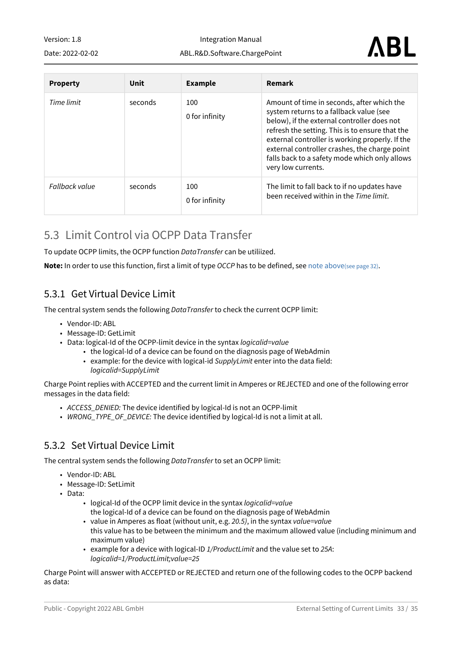Date: 2022-02-02

Integration Manual ABL.R&D.Software.ChargePoint

| <b>Property</b> | Unit    | <b>Example</b>        | <b>Remark</b>                                                                                                                                                                                                                                                                                                                                                      |
|-----------------|---------|-----------------------|--------------------------------------------------------------------------------------------------------------------------------------------------------------------------------------------------------------------------------------------------------------------------------------------------------------------------------------------------------------------|
| Time limit      | seconds | 100<br>0 for infinity | Amount of time in seconds, after which the<br>system returns to a fallback value (see<br>below), if the external controller does not<br>refresh the setting. This is to ensure that the<br>external controller is working properly. If the<br>external controller crashes, the charge point<br>falls back to a safety mode which only allows<br>very low currents. |
| Fallback value  | seconds | 100<br>0 for infinity | The limit to fall back to if no updates have<br>been received within in the Time limit.                                                                                                                                                                                                                                                                            |

### <span id="page-32-0"></span>5.3 Limit Control via OCPP Data Transfer

To update OCPP limits, the OCPP function *DataTransfer* can be utiliized.

<span id="page-32-1"></span>**Note:** In order to use this function, first a limit of type *OCCP* has to be defined, se[e note above](#page-31-3)(see page 32).

#### 5.3.1 Get Virtual Device Limit

The central system sends the following *DataTransfer* to check the current OCPP limit:

- Vendor-ID: ABL
- Message-ID: GetLimit
- Data: logical-Id of the OCPP-limit device in the syntax *logicalid=value*
	- the logical-Id of a device can be found on the diagnosis page of WebAdmin
	- example: for the device with logical-id *SupplyLimit* enter into the data field: *logicalid=SupplyLimit*

Charge Point replies with ACCEPTED and the current limit in Amperes or REJECTED and one of the following error messages in the data field:

- *ACCESS\_DENIED:* The device identified by logical-Id is not an OCPP-limit
- *WRONG\_TYPE\_OF\_DEVICE:* The device identified by logical-Id is not a limit at all.

#### <span id="page-32-2"></span>5.3.2 Set Virtual Device Limit

The central system sends the following *DataTransfer* to set an OCPP limit:

- Vendor-ID: ABL
- Message-ID: SetLimit
- Data:
	- logical-Id of the OCPP limit device in the syntax *logicalid=value* the logical-Id of a device can be found on the diagnosis page of WebAdmin
	- value in Amperes as float (without unit, e.g. *20.5)*, in the syntax *value=value* this value has to be between the minimum and the maximum allowed value (including minimum and maximum value)
	- example for a device with logical-ID *1/ProductLimit* and the value set to *25A*: *logicalid=1/ProductLimit;value=25*

Charge Point will answer with ACCEPTED or REJECTED and return one of the following codes to the OCPP backend as data: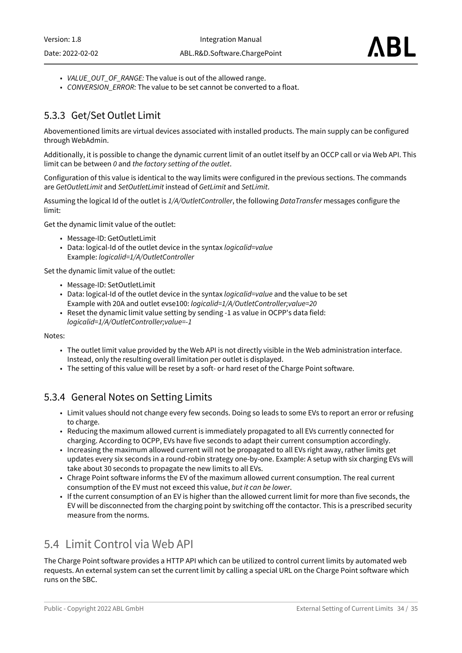- *VALUE\_OUT\_OF\_RANGE:* The value is out of the allowed range.
- *CONVERSION\_ERROR:* The value to be set cannot be converted to a float.

#### <span id="page-33-0"></span>5.3.3 Get/Set Outlet Limit

Abovementioned limits are virtual devices associated with installed products. The main supply can be configured through WebAdmin.

Additionally, it is possible to change the dynamic current limit of an outlet itself by an OCCP call or via Web API. This limit can be between *0* and *the factory setting of the outlet*.

Configuration of this value is identical to the way limits were configured in the previous sections. The commands are *GetOutletLimit* and *SetOutletLimit* instead of *GetLimit* and *SetLimit*.

Assuming the logical Id of the outlet is *1/A/OutletController*, the following *DataTransfer* messages configure the limit:

Get the dynamic limit value of the outlet:

- Message-ID: GetOutletLimit
- Data: logical-Id of the outlet device in the syntax *logicalid=value* Example: *logicalid=1/A/OutletController*

Set the dynamic limit value of the outlet:

- Message-ID: SetOutletLimit
- Data: logical-Id of the outlet device in the syntax *logicalid=value* and the value to be set Example with 20A and outlet evse100: *logicalid=1/A/OutletController;value=20*
- Reset the dynamic limit value setting by sending -1 as value in OCPP's data field: *logicalid=1/A/OutletController;value=-1*

Notes:

- The outlet limit value provided by the Web API is not directly visible in the Web administration interface. Instead, only the resulting overall limitation per outlet is displayed.
- The setting of this value will be reset by a soft- or hard reset of the Charge Point software.

#### <span id="page-33-1"></span>5.3.4 General Notes on Setting Limits

- Limit values should not change every few seconds. Doing so leads to some EVs to report an error or refusing to charge.
- Reducing the maximum allowed current is immediately propagated to all EVs currently connected for charging. According to OCPP, EVs have five seconds to adapt their current consumption accordingly.
- Increasing the maximum allowed current will not be propagated to all EVs right away, rather limits get updates every six seconds in a round-robin strategy one-by-one. Example: A setup with six charging EVs will take about 30 seconds to propagate the new limits to all EVs.
- Chrage Point software informs the EV of the maximum allowed current consumption. The real current consumption of the EV must not exceed this value, *but it can be lower*.
- If the current consumption of an EV is higher than the allowed current limit for more than five seconds, the EV will be disconnected from the charging point by switching off the contactor. This is a prescribed security measure from the norms.

### <span id="page-33-2"></span>5.4 Limit Control via Web API

The Charge Point software provides a HTTP API which can be utilized to control current limits by automated web requests. An external system can set the current limit by calling a special URL on the Charge Point software which runs on the SBC.